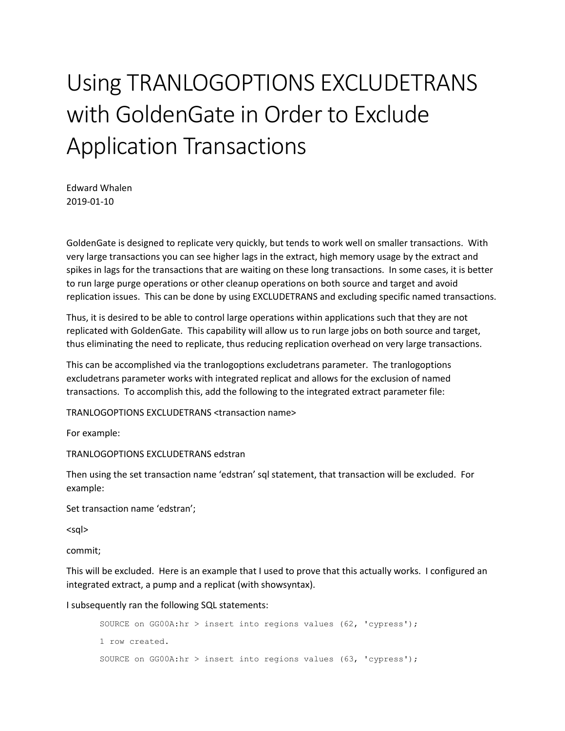## Using TRANLOGOPTIONS EXCLUDETRANS with GoldenGate in Order to Exclude Application Transactions

Edward Whalen 2019-01-10

GoldenGate is designed to replicate very quickly, but tends to work well on smaller transactions. With very large transactions you can see higher lags in the extract, high memory usage by the extract and spikes in lags for the transactions that are waiting on these long transactions. In some cases, it is better to run large purge operations or other cleanup operations on both source and target and avoid replication issues. This can be done by using EXCLUDETRANS and excluding specific named transactions.

Thus, it is desired to be able to control large operations within applications such that they are not replicated with GoldenGate. This capability will allow us to run large jobs on both source and target, thus eliminating the need to replicate, thus reducing replication overhead on very large transactions.

This can be accomplished via the tranlogoptions excludetrans parameter. The tranlogoptions excludetrans parameter works with integrated replicat and allows for the exclusion of named transactions. To accomplish this, add the following to the integrated extract parameter file:

TRANLOGOPTIONS EXCLUDETRANS <transaction name>

For example:

TRANLOGOPTIONS EXCLUDETRANS edstran

Then using the set transaction name 'edstran' sql statement, that transaction will be excluded. For example:

Set transaction name 'edstran';

<sql>

commit;

This will be excluded. Here is an example that I used to prove that this actually works. I configured an integrated extract, a pump and a replicat (with showsyntax).

I subsequently ran the following SQL statements:

```
SOURCE on GG00A:hr > insert into regions values (62, 'cypress');
1 row created.
SOURCE on GG00A:hr > insert into regions values (63, 'cypress');
```